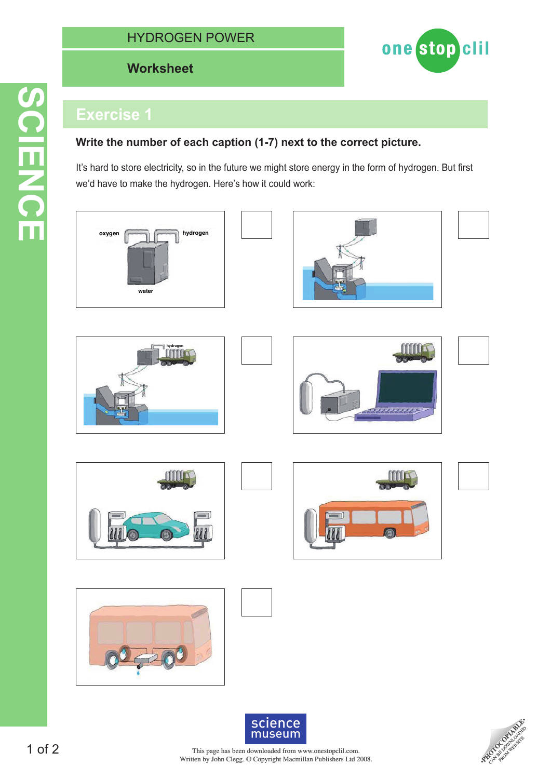# HYDROGEN POWER

## **Worksheet Worksheet**



# **Exercise 1**

#### **Write the number of each caption (1-7) next to the correct picture.**

It's hard to store electricity, so in the future we might store energy in the form of hydrogen. But first we'd have to make the hydrogen. Here's how it could work:



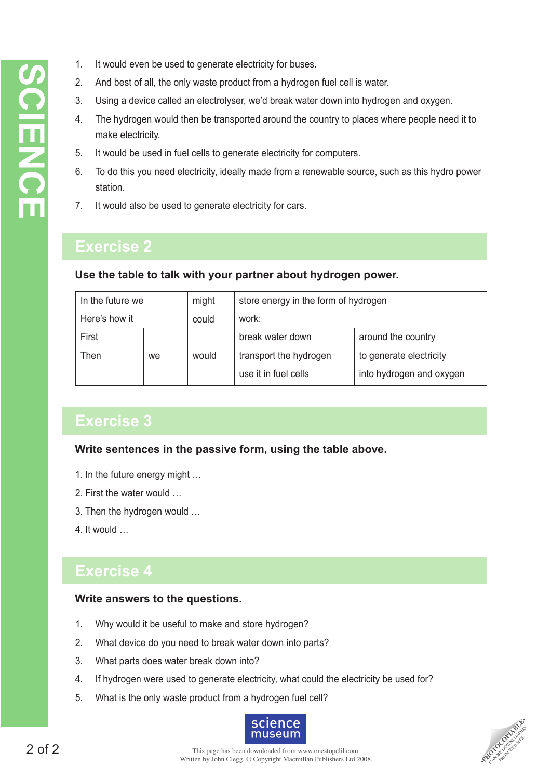- 1. It would even be used to generate electricity for buses.
- 2. And best of all, the only waste product from a hydrogen fuel cell is water.
- 3. Using a device called an electrolyser, we'd break water down into hydrogen and oxygen.
- 4. The hydrogen would then be transported around the country to places where people need it to make electricity.
- 5. It would be used in fuel cells to generate electricity for computers.
- 6. To do this you need electricity, ideally made from a renewable source, such as this hydro power station.
- 7. It would also be used to generate electricity for cars.

# **Exercise 2**

#### **Use the table to talk with your partner about hydrogen power.**

| In the future we |    | might | store energy in the form of hydrogen |                          |
|------------------|----|-------|--------------------------------------|--------------------------|
| Here's how it    |    | could | work:                                |                          |
| First            |    |       | break water down                     | around the country       |
| Then             | we | would | transport the hydrogen               | to generate electricity  |
|                  |    |       | use it in fuel cells                 | into hydrogen and oxygen |

# **Exercise 3**

#### **Write sentences in the passive form, using the table above.**

- 1. In the future energy might …
- 2. First the water would …
- 3. Then the hydrogen would …
- 4. It would …

# **Exercise 4**

#### **Write answers to the questions.**

- 1. Why would it be useful to make and store hydrogen?
- 2. What device do you need to break water down into parts?
- 3. What parts does water break down into?
- 4. If hydrogen were used to generate electricity, what could the electricity be used for?
- 5. What is the only waste product from a hydrogen fuel cell?



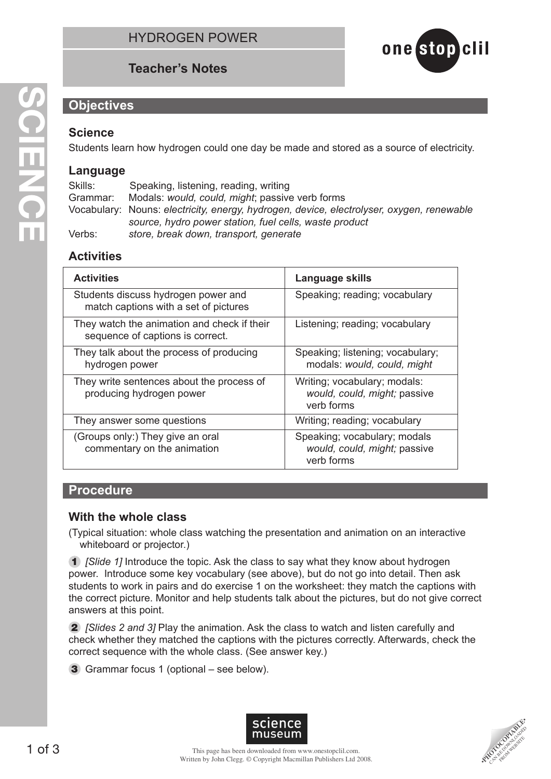# **Teacher's Notes**



## **Objectives**

### **Science**

Students learn how hydrogen could one day be made and stored as a source of electricity.

## **Language**

Skills: Speaking, listening, reading, writing Grammar: Modals: *would, could, might*; passive verb forms Vocabulary: Nouns: *electricity, energy, hydrogen, device, electrolyser, oxygen, renewable source, hydro power station, fuel cells, waste product* Verbs: *store, break down, transport, generate*

# **Activities**

| <b>Activities</b>                                                               | Language skills                                                            |  |
|---------------------------------------------------------------------------------|----------------------------------------------------------------------------|--|
| Students discuss hydrogen power and<br>match captions with a set of pictures    | Speaking; reading; vocabulary                                              |  |
| They watch the animation and check if their<br>sequence of captions is correct. | Listening; reading; vocabulary                                             |  |
| They talk about the process of producing<br>hydrogen power                      | Speaking; listening; vocabulary;<br>modals: would, could, might            |  |
| They write sentences about the process of<br>producing hydrogen power           | Writing; vocabulary; modals:<br>would, could, might; passive<br>verb forms |  |
| They answer some questions                                                      | Writing; reading; vocabulary                                               |  |
| (Groups only:) They give an oral<br>commentary on the animation                 | Speaking; vocabulary; modals<br>would, could, might; passive<br>verb forms |  |

#### **Procedure**

#### **With the whole class**

(Typical situation: whole class watching the presentation and animation on an interactive whiteboard or projector.)

1 *[Slide 1]* Introduce the topic. Ask the class to say what they know about hydrogen power. Introduce some key vocabulary (see above), but do not go into detail. Then ask students to work in pairs and do exercise 1 on the worksheet: they match the captions with the correct picture. Monitor and help students talk about the pictures, but do not give correct answers at this point.

2 *[Slides 2 and 3]* Play the animation. Ask the class to watch and listen carefully and check whether they matched the captions with the pictures correctly. Afterwards, check the correct sequence with the whole class. (See answer key.)

3 Grammar focus 1 (optional – see below).



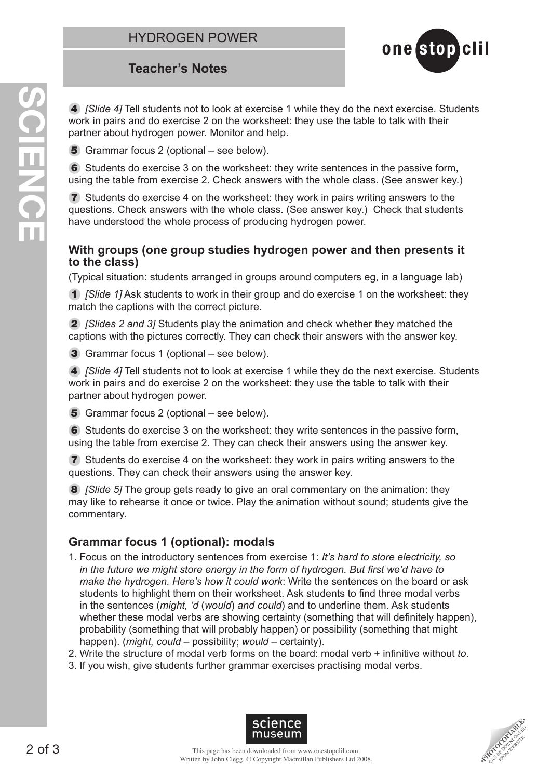# **Teacher's Notes**

4 *[Slide 4]* Tell students not to look at exercise 1 while they do the next exercise. Students work in pairs and do exercise 2 on the worksheet: they use the table to talk with their partner about hydrogen power. Monitor and help.

one stop clil

5 Grammar focus 2 (optional – see below).

6 Students do exercise 3 on the worksheet: they write sentences in the passive form, using the table from exercise 2. Check answers with the whole class. (See answer key.)

7 Students do exercise 4 on the worksheet: they work in pairs writing answers to the questions. Check answers with the whole class. (See answer key.) Check that students have understood the whole process of producing hydrogen power.

#### **With groups (one group studies hydrogen power and then presents it to the class)**

(Typical situation: students arranged in groups around computers eg, in a language lab)

1 *[Slide 1]* Ask students to work in their group and do exercise 1 on the worksheet: they match the captions with the correct picture.

2 *[Slides 2 and 3]* Students play the animation and check whether they matched the captions with the pictures correctly. They can check their answers with the answer key.

3 Grammar focus 1 (optional – see below).

4 *[Slide 4]* Tell students not to look at exercise 1 while they do the next exercise. Students work in pairs and do exercise 2 on the worksheet: they use the table to talk with their partner about hydrogen power.

5 Grammar focus 2 (optional – see below).

6 Students do exercise 3 on the worksheet: they write sentences in the passive form, using the table from exercise 2. They can check their answers using the answer key.

7 Students do exercise 4 on the worksheet: they work in pairs writing answers to the questions. They can check their answers using the answer key.

8 *[Slide 5]* The group gets ready to give an oral commentary on the animation: they may like to rehearse it once or twice. Play the animation without sound; students give the commentary.

## **Grammar focus 1 (optional): modals**

- 1. Focus on the introductory sentences from exercise 1: *It's hard to store electricity, so in the future we might store energy in the form of hydrogen. But first we'd have to make the hydrogen. Here's how it could work*: Write the sentences on the board or ask students to highlight them on their worksheet. Ask students to find three modal verbs in the sentences (*might, 'd* (*would*) *and could*) and to underline them. Ask students whether these modal verbs are showing certainty (something that will definitely happen), probability (something that will probably happen) or possibility (something that might happen). (*might, could* – possibility; *would* – certainty).
- 2. Write the structure of modal verb forms on the board: modal verb + infinitive without *to*.
- 3. If you wish, give students further grammar exercises practising modal verbs.